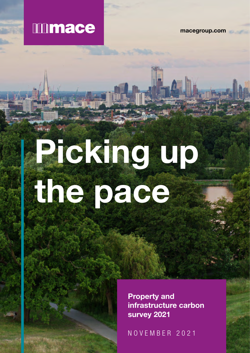### **Immace**

**ATITION** 

macegroup.com

# Picking up the pace

Property and infrastructure carbon survey 2021

NOVEMBER 2021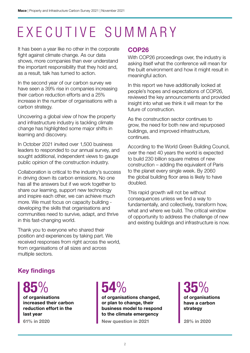# EXECUTIVE SUMMARY

It has been a year like no other in the corporate fight against climate change. As our data shows, more companies than ever understand the important responsibility that they hold and, as a result, talk has turned to action.

In the second year of our carbon survey we have seen a 39% rise in companies increasing their carbon reduction efforts and a 25% increase in the number of organisations with a carbon strategy.

Uncovering a global view of how the property and infrastructure industry is tackling climate change has highlighted some major shifts in learning and discovery.

In October 2021 invited over 1,500 business leaders to responded to our annual survey, and sought additional, independent views to gauge public opinion of the construction industry.

Collaboration is critical to the industry's success in driving down its carbon emissions. No one has all the answers but if we work together to share our learning, support new technology and inspire each other, we can achieve much more. We must focus on capacity building developing the skills that organisations and communities need to survive, adapt, and thrive in this fast-changing world.

Thank you to everyone who shared their position and experiences by taking part. We received responses from right across the world, from organisations of all sizes and across multiple sectors.

#### COP26

With COP26 proceedings over, the industry is asking itself what the conference will mean for the built environment and how it might result in meaningful action.

In this report we have additionally looked at people's hopes and expectations of COP26, reviewed the key announcements and provided insight into what we think it will mean for the future of construction.

As the construction sector continues to grow, the need for both new and repurposed buildings, and improved infrastructure, continues.

According to the World Green Building Council, over the next 40 years the world is expected to build 230 billion square metres of new construction – adding the equivalent of Paris to the planet every single week. By 2060 the global building floor area is likely to have doubled.

This rapid growth will not be without consequences unless we find a way to fundamentally, and collectively, transform how, what and where we build. The critical window of opportunity to address the challenge of new and existing buildings and infrastructure is now.

### Key findings

of organisations increased their carbon reduction effort in the last year 85%

## 54%

of organisations changed, or plan to change, their business model to respond to the climate emergency

61% in 2020 New question in 2021 28% in 2020

### of organisations have a carbon strategy 35%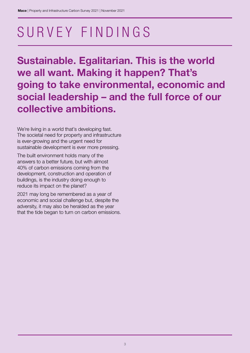# SURVEY FINDINGS

Sustainable. Egalitarian. This is the world we all want. Making it happen? That's going to take environmental, economic and social leadership – and the full force of our collective ambitions.

We're living in a world that's developing fast. The societal need for property and infrastructure is ever-growing and the urgent need for sustainable development is ever more pressing.

The built environment holds many of the answers to a better future, but with almost 40% of carbon emissions coming from the development, construction and operation of buildings, is the industry doing enough to reduce its impact on the planet?

2021 may long be remembered as a year of economic and social challenge but, despite the adversity, it may also be heralded as the year that the tide began to turn on carbon emissions.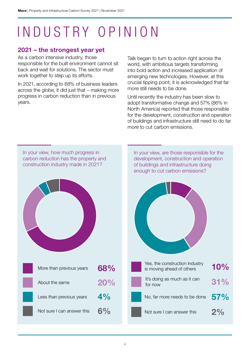# INDUSTRY OPINION

### 2021 – the strongest year yet

As a carbon intensive industry, those responsible for the built environment cannot sit back and wait for solutions. The sector must work together to step up its efforts.

In 2021, according to 68% of business leaders across the globe, it did just that – making more progress in carbon reduction than in previous years.

Talk began to turn to action right across the world, with ambitious targets transforming into bold action and increased application of emerging new technologies. However, at this crucial tipping point, it is acknowledged that far more still needs to be done.

Until recently the industry has been slow to adopt transformative change and 57% (86% in North America) reported that those responsible for the development, construction and operation of buildings and infrastructure still need to do far more to cut carbon emissions.

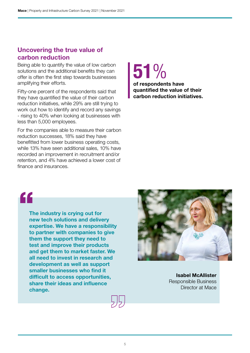### Uncovering the true value of carbon reduction

Being able to quantify the value of low carbon solutions and the additional benefits they can offer is often the first step towards businesses amplifying their efforts.

Fifty-one percent of the respondents said that they have quantified the value of their carbon reduction initiatives, while 29% are still trying to work out how to identify and record any savings - rising to 40% when looking at businesses with less than 5,000 employees.

For the companies able to measure their carbon reduction successes, 18% said they have benefitted from lower business operating costs, while 13% have seen additional sales, 10% have recorded an improvement in recruitment and/or retention, and 4% have achieved a lower cost of finance and insurances.



"

The industry is crying out for new tech solutions and delivery expertise. We have a responsibility to partner with companies to give them the support they need to test and improve their products and get them to market faster. We all need to invest in research and development as well as support smaller businesses who find it difficult to access opportunities, share their ideas and influence change.



Isabel McAllister Responsible Business Director at Mace

5月.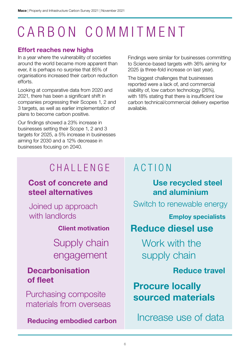# CARBON COMMITMENT

### Effort reaches new highs

In a year where the vulnerability of societies around the world became more apparent than ever, it is perhaps no surprise that 85% of organisations increased their carbon reduction efforts.

Looking at comparative data from 2020 and 2021, there has been a significant shift in companies progressing their Scopes 1, 2 and 3 targets, as well as earlier implementation of plans to become carbon positive.

Our findings showed a 23% increase in businesses setting their Scope 1, 2 and 3 targets for 2025, a 5% increase in businesses aiming for 2030 and a 12% decrease in businesses focusing on 2040.

Findings were similar for businesses committing to Science-based targets with 36% aiming for 2025 (a three-fold increase on last year).

The biggest challenges that businesses reported were a lack of, and commercial viability of, low carbon technology (26%), with 18% stating that there is insufficient low carbon technical/commercial delivery expertise available.

### CHALLENGE

### Cost of concrete and steel alternatives

Joined up approach with landlords

Client motivation

Supply chain engagement

### **Decarbonisation** of fleet

Purchasing composite materials from overseas

Reducing embodied carbon

### ACTION

### Use recycled steel and aluminium

Switch to renewable energy

Employ specialists

### Reduce diesel use

Work with the supply chain

Reduce travel

### Procure locally sourced materials

Increase use of data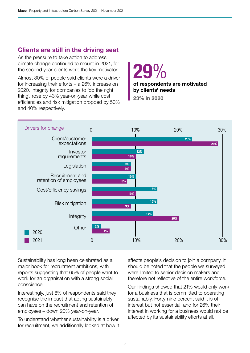### Clients are still in the driving seat

As the pressure to take action to address climate change continued to mount in 2021, for the second year clients were the key motivator.

Almost 30% of people said clients were a driver for increasing their efforts – a 26% increase on 2020. Integrity for companies to 'do the right thing', rose by 43% year-on-year while cost efficiencies and risk mitigation dropped by 50% and 40% respectively.

### of respondents are motivated by clients' needs 29%

23% in 2020



Sustainability has long been celebrated as a major hook for recruitment ambitions, with reports suggesting that 65% of people want to work for an organisation with a strong social conscience.

Interestingly, just 8% of respondents said they recognise the impact that acting sustainably can have on the recruitment and retention of employees – down 20% year-on-year.

To understand whether sustainability is a driver for recruitment, we additionally looked at how it affects people's decision to join a company. It should be noted that the people we surveyed were limited to senior decision makers and therefore not reflective of the entire workforce.

Our findings showed that 21% would only work for a business that is committed to operating sustainably. Forty-nine percent said it is of interest but not essential, and for 26% their interest in working for a business would not be affected by its sustainability efforts at all.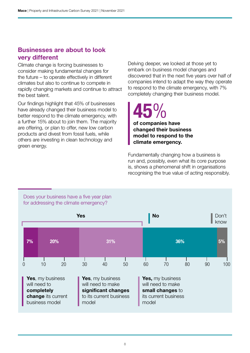### Businesses are about to look very different

Climate change is forcing businesses to consider making fundamental changes for the future – to operate effectively in different climates but also to continue to compete in rapidly changing markets and continue to attract the best talent.

Our findings highlight that 45% of businesses have already changed their business model to better respond to the climate emergency, with a further 15% about to join them. The majority are offering, or plan to offer, new low carbon products and divest from fossil fuels, while others are investing in clean technology and green energy.

Delving deeper, we looked at those yet to embark on business model changes and discovered that in the next five years over half of companies intend to adapt the way they operate to respond to the climate emergency, with 7% completely changing their business model.

45%

of companies have changed their business model to respond to the climate emergency.

Fundamentally changing how a business is run and, possibly, even what its core purpose is, shows a phenomenal shift in organisations recognising the true value of acting responsibly.

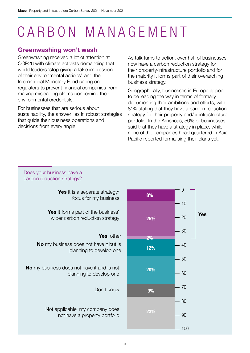# CARBON MANAGEMENT

### Greenwashing won't wash

Greenwashing received a lot of attention at COP26 with climate activists demanding that world leaders 'stop giving a false impression of their environmental actions', and the International Monetary Fund calling on regulators to prevent financial companies from making misleading claims concerning their environmental credentials.

For businesses that are serious about sustainability, the answer lies in robust strategies that guide their business operations and decisions from every angle.

As talk turns to action, over half of businesses now have a carbon reduction strategy for their property/infrastructure portfolio and for the majority it forms part of their overarching business strategy.

Geographically, businesses in Europe appear to be leading the way in terms of formally documenting their ambitions and efforts, with 81% stating that they have a carbon reduction strategy for their property and/or infrastructure portfolio. In the Americas, 50% of businesses said that they have a strategy in place, while none of the companies head quartered in Asia Pacific reported formalising their plans yet.

Does your business have a carbon reduction strategy?

> Yes it is a separate strategy/ focus for my business

Yes it forms part of the business' wider carbon reduction strategy

#### Yes, other

No my business does not have it but is planning to develop one

No my business does not have it and is not planning to develop one

Don't know

Not applicable, my company does not have a property portfolio

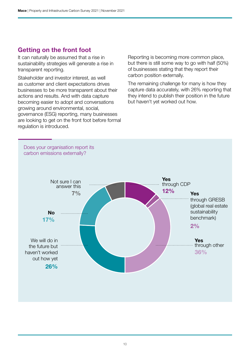### Getting on the front foot

It can naturally be assumed that a rise in sustainability strategies will generate a rise in transparent reporting.

Stakeholder and investor interest, as well as customer and client expectations drives businesses to be more transparent about their actions and results. And with data capture becoming easier to adopt and conversations growing around environmental, social, governance (ESG) reporting, many businesses are looking to get on the front foot before formal regulation is introduced.

Reporting is becoming more common place, but there is still some way to go with half (50%) of businesses stating that they report their carbon position externally.

The remaining challenge for many is how they capture data accurately, with 26% reporting that they intend to publish their position in the future but haven't yet worked out how.

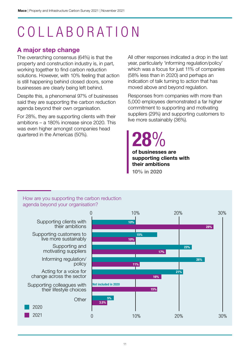# COLLABORATION

### A major step change

The overarching consensus (64%) is that the property and construction industry is, in part, working together to find carbon reduction solutions. However, with 10% feeling that action is still happening behind closed doors, some businesses are clearly being left behind.

Despite this, a phenomenal 97% of businesses said they are supporting the carbon reduction agenda beyond their own organisation.

For 28%, they are supporting clients with their ambitions – a 180% increase since 2020. This was even higher amongst companies head quartered in the Americas (50%).

All other responses indicated a drop in the last year, particularly 'informing regulation/policy' which was a focus for just 11% of companies (58% less than in 2020) and perhaps an indication of talk turning to action that has moved above and beyond regulation.

Responses from companies with more than 5,000 employees demonstrated a far higher commitment to supporting and motivating suppliers (29%) and supporting customers to live more sustainably (36%).

of businesses are supporting clients with their ambitions 28% 10% in 2020

#### How are you supporting the carbon reduction agenda beyond your organisation?

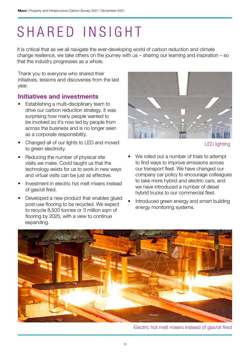# SHARED INSIGHT

It is critical that as we all navigate the ever-developing world of carbon reduction and climate change resilience, we take others on the journey with us – sharing our learning and inspiration – so that the industry progresses as a whole.

Thank you to everyone who shared their initiatives, lessons and discoveries from the last year.

### Initiatives and investments

- Establishing a multi-disciplinary team to drive our carbon reduction strategy. It was surprising how many people wanted to be involved so it's now led by people from across the business and is no longer seen as a corporate responsibility.
- Changed all of our lights to LED and moved to green electricity.
- Reducing the number of physical site visits we make. Covid taught us that the technology exists for us to work in new ways and virtual visits can be just as effective.
- Investment in electric hot melt mixers instead of gas/oil fired.
- Developed a new product that enables glued post-use flooring to be recycled. We expect to recycle 8,500 tonnes or 3 million sam of flooring by 2025, with a view to continue expanding.



LED lighting

- We rolled out a number of trials to attempt to find ways to improve emissions across our transport fleet. We have changed our company car policy to encourage colleagues to take more hybrid and electric cars, and we have introduced a number of diesel hybrid trucks to our commercial fleet.
- Introduced green energy and smart building energy monitoring systems.



Electric hot melt mixers instead of gas/oil fired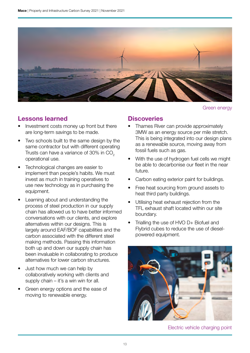

Green energy

### Lessons learned

- Investment costs money up front but there are long-term savings to be made.
- Two schools built to the same design by the same contractor but with different operating Trusts can have a variance of 30% in  $CO<sub>2</sub>$ operational use.
- Technological changes are easier to implement than people's habits. We must invest as much in training operatives to use new technology as in purchasing the equipment.
- Learning about and understanding the process of steel production in our supply chain has allowed us to have better informed conversations with our clients, and explore alternatives within our designs. This is largely around EAF/BOF capabilities and the carbon associated with the different steel making methods. Passing this information both up and down our supply chain has been invaluable in collaborating to produce alternatives for lower carbon structures.
- Just how much we can help by collaboratively working with clients and supply chain – it's a win win for all.
- Green energy options and the ease of moving to renewable energy.

### **Discoveries**

- Thames River can provide approximately 3MW as an energy source per mile stretch. This is being integrated into our design plans as a renewable source, moving away from fossil fuels such as gas.
- With the use of hydrogen fuel cells we might be able to decarbonise our fleet in the near future.
- Carbon eating exterior paint for buildings.
- Free heat sourcing from ground assets to heat third party buildings.
- Utilising heat exhaust rejection from the TFL exhaust shaft located within our site boundary.
- Trialling the use of HVO D+ Biofuel and Flybrid cubes to reduce the use of dieselpowered equipment.



Electric vehicle charging point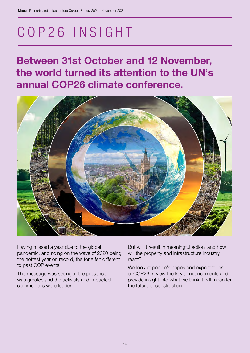# COP26 INSIGHT

### Between 31st October and 12 November, the world turned its attention to the UN's annual COP26 climate conference.



Having missed a year due to the global pandemic, and riding on the wave of 2020 being the hottest year on record, the tone felt different to past COP events.

The message was stronger, the presence was greater, and the activists and impacted communities were louder.

But will it result in meaningful action, and how will the property and infrastructure industry react?

We look at people's hopes and expectations of COP26, review the key announcements and provide insight into what we think it will mean for the future of construction.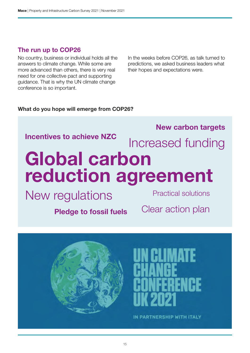### The run up to COP26

No country, business or individual holds all the answers to climate change. While some are more advanced than others, there is very real need for one collective pact and supporting guidance. That is why the UN climate change conference is so important.

In the weeks before COP26, as talk turned to predictions, we asked business leaders what their hopes and expectations were.

#### What do you hope will emerge from COP26?

### Global carbon reduction agreement Increased funding Incentives to achieve NZC

New regulations

Pledge to fossil fuels

Practical solutions

New carbon targets

Clear action plan

IN PARTNERSHIP WITH ITALY



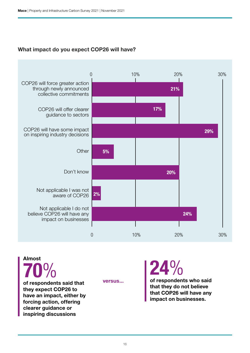### What impact do you expect COP26 will have?



### 70% Almost

of respondents said that they expect COP26 to have an impact, either by forcing action, offering clearer guidance or inspiring discussions

versus...

### of respondents who said that they do not believe 24%

that COP26 will have any impact on businesses.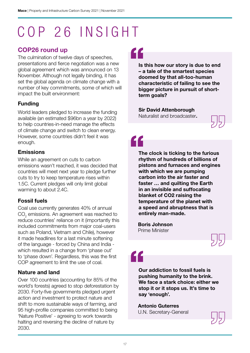# COP 26 INSIGHT

### COP26 round up

The culmination of twelve days of speeches, presentations and fierce negotiation was a new global agreement which was announced on 13 November. Although not legally binding, it has set the global agenda on climate change with a number of key commitments, some of which will impact the built environment:

#### Funding

World leaders pledged to increase the funding available (an estimated \$96bn a year by 2022) to help countries-in-need manage the effects of climate change and switch to clean energy. However, some countries didn't feel it was enough.

#### Emissions

While an agreement on cuts to carbon emissions wasn't reached, it was decided that countries will meet next year to pledge further cuts to try to keep temperature rises within 1.5C. Current pledges will only limit global warming to about 2.4C.

#### Fossil fuels

Coal use currently generates 40% of annual  $\mathrm{CO}_2^{\phantom{\dag}}$  emissions. An agreement was reached to reduce countries' reliance on it (importantly this included commitments from major coal-users such as Poland, Vietnam and Chile), however it made headlines for a last minute softening of the language - forced by China and India which resulted in a change from 'phase out' to 'phase down'. Regardless, this was the first COP agreement to limit the use of coal.

#### Nature and land

Over 100 countries (accounting for 85% of the world's forests) agreed to stop deforestation by 2030. Forty-five governments pledged urgent action and investment to protect nature and shift to more sustainable ways of farming, and 95 high-profile companies committed to being 'Nature Positive' - agreeing to work towards halting and reversing the decline of nature by 2030.

### "

Is this how our story is due to end – a tale of the smartest species doomed by that all-too-human characteristic of failing to see the bigger picture in pursuit of shortterm goals?

Sir David Attenborough Naturalist and broadcaster.



"

The clock is ticking to the furious rhythm of hundreds of billions of pistons and furnaces and engines with which we are pumping carbon into the air faster and faster … and quilting the Earth in an invisible and suffocating blanket of CO2 raising the temperature of the planet with a speed and abruptness that is entirely man-made.

Boris Johnson Prime Minister

"

Our addiction to fossil fuels is pushing humanity to the brink. We face a stark choice: either we stop it or it stops us. It's time to say 'enough'.

Antonio Guterres U.N. Secretary-General

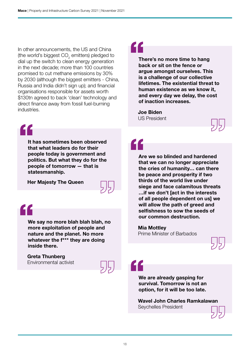In other announcements, the US and China (the world's biggest CO $_2$  emitters) pledged to dial up the switch to clean energy generation in the next decade; more than 100 countries promised to cut methane emissions by 30% by 2030 (although the biggest emitters - China, Russia and India didn't sign up); and financial organisations responsible for assets worth \$130tn agreed to back 'clean' technology and direct finance away from fossil fuel-burning industries.

## 40

It has sometimes been observed that what leaders do for their people today is government and politics. But what they do for the people of tomorrow — that is statesmanship.

Her Majesty The Queen

# "

We say no more blah blah blah, no more exploitation of people and nature and the planet. No more whatever the f\*\*\* they are doing inside there.

Greta Thunberg Environmental activist

# "

There's no more time to hang back or sit on the fence or argue amongst ourselves. This is a challenge of our collective lifetimes. The existential threat to human existence as we know it, and every day we delay, the cost of inaction increases.

Joe Biden US President



Are we so blinded and hardened that we can no longer appreciate the cries of humanity… can there be peace and prosperity if two thirds of the world live under siege and face calamitous threats …if we don't [act in the interests of all people dependent on us] we will allow the path of greed and selfishness to sow the seeds of our common destruction.

Mia Mottley

Prime Minister of Barbados



We are already gasping for survival. Tomorrow is not an option, for it will be too late.

Wavel John Charles Ramkalawan Seychelles President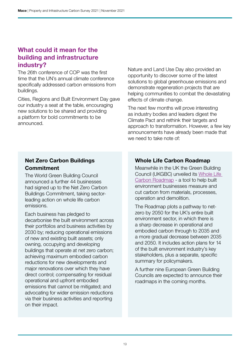### What could it mean for the building and infrastructure industry?

The 26th conference of COP was the first time that the UN's annual climate conference specifically addressed carbon emissions from buildings.

Cities, Regions and Built Environment Day gave our industry a seat at the table, encouraging new solutions to be shared and providing a platform for bold commitments to be announced.

Nature and Land Use Day also provided an opportunity to discover some of the latest solutions to global greenhouse emissions and demonstrate regeneration projects that are helping communities to combat the devastating effects of climate change.

The next few months will prove interesting as industry bodies and leaders digest the Climate Pact and rethink their targets and approach to transformation. However, a few key announcements have already been made that we need to take note of:

### Net Zero Carbon Buildings **Commitment**

The World Green Building Council announced a further 44 businesses had signed up to the Net Zero Carbon Buildings Commitment, taking sectorleading action on whole life carbon emissions.

Each business has pledged to decarbonise the built environment across their portfolios and business activities by 2030 by; reducing operational emissions of new and existing built assets; only owning, occupying and developing buildings that operate at net zero carbon; achieving maximum embodied carbon reductions for new developments and major renovations over which they have direct control; compensating for residual operational and upfront embodied emissions that cannot be mitigated; and advocating for wider emission reductions via their business activities and reporting on their impact.

### Whole Life Carbon Roadmap

Meanwhile in the UK the Green Building Council (UKGBC) unveiled its [Whole Life](https://www.ukgbc.org/ukgbc-work/net-zero-whole-life-roadmap-for-the-built-environment/)  [Carbon Roadmap](https://www.ukgbc.org/ukgbc-work/net-zero-whole-life-roadmap-for-the-built-environment/) - a tool to help built environment businesses measure and cut carbon from materials, processes, operation and demolition.

The Roadmap plots a pathway to netzero by 2050 for the UK's entire built environment sector, in which there is a sharp decrease in operational and embodied carbon through to 2035 and a more gradual decrease between 2035 and 2050. It includes action plans for 14 of the built environment industry's key stakeholders, plus a separate, specific summary for policymakers.

A further nine European Green Building Councils are expected to announce their roadmaps in the coming months.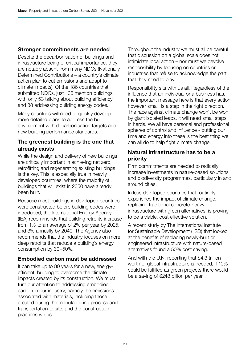#### Stronger commitments are needed

Despite the decarbonisation of buildings and infrastructure being of critical importance, they are notably absent from many NDCs (Nationally Determined Contributions – a country's climate action plan to cut emissions and adapt to climate impacts). Of the 186 countries that submitted NDCs, just 136 mention buildings, with only 53 talking about building efficiency and 38 addressing building energy codes.

Many countries will need to quickly develop more detailed plans to address the built environment with decarbonisation targets and new building performance standards.

#### The greenest building is the one that already exists

While the design and delivery of new buildings are critically important in achieving net zero, retrofitting and regenerating existing buildings is the key. This is especially true in heavily developed countries, where the majority of buildings that will exist in 2050 have already been built.

Because most buildings in developed countries were constructed before building codes were introduced, the International Energy Agency (IEA) recommends that building retrofits increase from 1% to an average of 2% per year by 2025, and 3% annually by 2040. The Agency also recommends that the industry focuses on more deep retrofits that reduce a building's energy consumption by 30–50%.

#### Embodied carbon must be addressed

It can take up to 80 years for a new, energyefficient, building to overcome the climate impacts created by its construction. We must turn our attention to addressing embodied carbon in our industry, namely the emissions associated with materials, including those created during the manufacturing process and transportation to site, and the construction practices we use.

Throughout the industry we must all be careful that discussion on a global scale does not intimidate local action – nor must we devolve responsibility by focusing on countries or industries that refuse to acknowledge the part that they need to play.

Responsibility sits with us all. Regardless of the influence that an individual or a business has, the important message here is that every action, however small, is a step in the right direction. The race against climate change won't be won by giant isolated leaps, it will need small steps in herds. We all have personal and professional spheres of control and influence - putting our time and energy into these is the best thing we can all do to help fight climate change.

#### Natural infrastructure has to be a priority

Firm commitments are needed to radically increase investments in nature-based solutions and biodiversity programmes, particularly in and around cities.

In less developed countries that routinely experience the impact of climate change, replacing traditional concrete-heavy infrastructure with green alternatives, is proving to be a viable, cost effective solution.

A recent study by The International Institute for Sustainable Development (IISD) that looked at the benefits of replacing newly-built or engineered infrastructure with nature-based alternatives found a 50% cost saving.

And with the U.N. reporting that \$4.3 trillion worth of global infrastructure is needed, if 10% could be fulfilled as green projects there would be a saving of \$248 billion per year.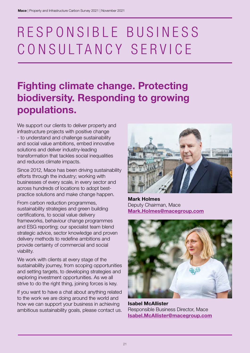# RESPONSIBLE BUSINESS CONSULTANCY SERVICE

### Fighting climate change. Protecting biodiversity. Responding to growing populations.

We support our clients to deliver property and infrastructure projects with positive change - to understand and challenge sustainability and social value ambitions, embed innovative solutions and deliver industry-leading transformation that tackles social inequalities and reduces climate impacts.

Since 2012, Mace has been driving sustainability efforts through the industry; working with businesses of every scale, in every sector and across hundreds of locations to adopt bestpractice solutions and make change happen.

From carbon reduction programmes, sustainability strategies and green building certifications, to social value delivery frameworks, behaviour change programmes and ESG reporting; our specialist team blend strategic advice, sector knowledge and proven delivery methods to redefine ambitions and provide certainty of commercial and social viability.

We work with clients at every stage of the sustainability journey, from scoping opportunities and setting targets, to developing strategies and exploring investment opportunities. As we all strive to do the right thing, joining forces is key.

If you want to have a chat about anything related to the work we are doing around the world and how we can support your business in achieving ambitious sustainability goals, please contact us.



Mark Holmes Deputy Chairman, Mace Mark.Holmes@macegroup.com



Isabel McAllister Responsible Business Director, Mace Isabel.McAllister@macegroup.com